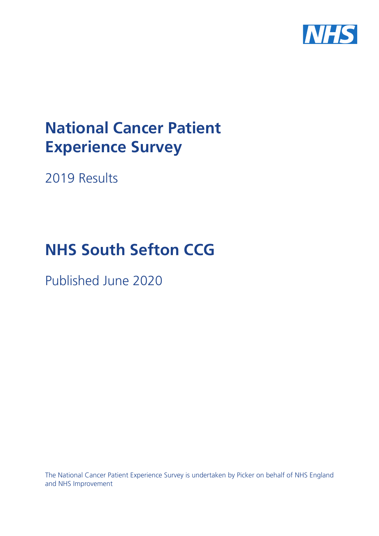

# **National Cancer Patient Experience Survey**

2019 Results

# **NHS South Sefton CCG**

Published June 2020

The National Cancer Patient Experience Survey is undertaken by Picker on behalf of NHS England and NHS Improvement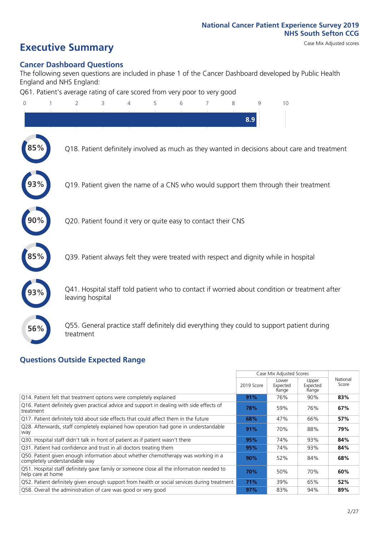### **Executive Summary** Case Mix Adjusted scores

### **Cancer Dashboard Questions**

The following seven questions are included in phase 1 of the Cancer Dashboard developed by Public Health England and NHS England:

Q61. Patient's average rating of care scored from very poor to very good

| $\overline{0}$ | $\overline{2}$                                                | 3 | 4 | 5 | 6 | 7 | 8 | 9   | 10                                                                                            |  |
|----------------|---------------------------------------------------------------|---|---|---|---|---|---|-----|-----------------------------------------------------------------------------------------------|--|
|                |                                                               |   |   |   |   |   |   | 8.9 |                                                                                               |  |
|                |                                                               |   |   |   |   |   |   |     | Q18. Patient definitely involved as much as they wanted in decisions about care and treatment |  |
|                |                                                               |   |   |   |   |   |   |     | Q19. Patient given the name of a CNS who would support them through their treatment           |  |
|                | Q20. Patient found it very or quite easy to contact their CNS |   |   |   |   |   |   |     |                                                                                               |  |
|                |                                                               |   |   |   |   |   |   |     | Q39. Patient always felt they were treated with respect and dignity while in hospital         |  |
|                | leaving hospital                                              |   |   |   |   |   |   |     | Q41. Hospital staff told patient who to contact if worried about condition or treatment after |  |
| 56%            | treatment                                                     |   |   |   |   |   |   |     | Q55. General practice staff definitely did everything they could to support patient during    |  |
|                | Questions Qutside Expected Range                              |   |   |   |   |   |   |     |                                                                                               |  |

### **Questions Outside Expected Range**

|                                                                                                                    |            | Case Mix Adjusted Scores   |                            |                   |
|--------------------------------------------------------------------------------------------------------------------|------------|----------------------------|----------------------------|-------------------|
|                                                                                                                    | 2019 Score | Lower<br>Expected<br>Range | Upper<br>Expected<br>Range | National<br>Score |
| Q14. Patient felt that treatment options were completely explained                                                 | 91%        | 76%                        | 90%                        | 83%               |
| Q16. Patient definitely given practical advice and support in dealing with side effects of<br>treatment            | 78%        | 59%                        | 76%                        | 67%               |
| Q17. Patient definitely told about side effects that could affect them in the future                               | 68%        | 47%                        | 66%                        | 57%               |
| Q28. Afterwards, staff completely explained how operation had gone in understandable<br>way                        | 91%        | 70%                        | 88%                        | 79%               |
| Q30. Hospital staff didn't talk in front of patient as if patient wasn't there                                     | 95%        | 74%                        | 93%                        | 84%               |
| Q31. Patient had confidence and trust in all doctors treating them                                                 | 95%        | 74%                        | 93%                        | 84%               |
| Q50. Patient given enough information about whether chemotherapy was working in a<br>completely understandable way | 90%        | 52%                        | 84%                        | 68%               |
| Q51. Hospital staff definitely gave family or someone close all the information needed to<br>help care at home     | 70%        | 50%                        | 70%                        | 60%               |
| Q52. Patient definitely given enough support from health or social services during treatment                       | 71%        | 39%                        | 65%                        | 52%               |
| Q58. Overall the administration of care was good or very good                                                      | 97%        | 83%                        | 94%                        | 89%               |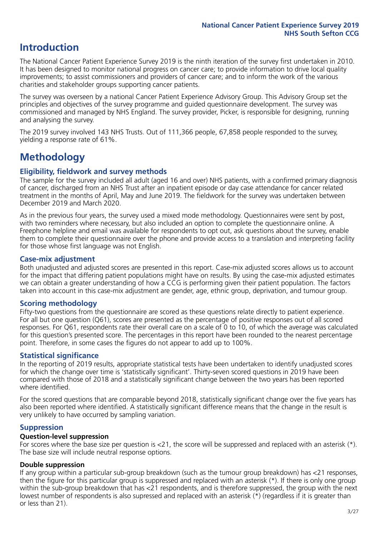### **Introduction**

The National Cancer Patient Experience Survey 2019 is the ninth iteration of the survey first undertaken in 2010. It has been designed to monitor national progress on cancer care; to provide information to drive local quality improvements; to assist commissioners and providers of cancer care; and to inform the work of the various charities and stakeholder groups supporting cancer patients.

The survey was overseen by a national Cancer Patient Experience Advisory Group. This Advisory Group set the principles and objectives of the survey programme and guided questionnaire development. The survey was commissioned and managed by NHS England. The survey provider, Picker, is responsible for designing, running and analysing the survey.

The 2019 survey involved 143 NHS Trusts. Out of 111,366 people, 67,858 people responded to the survey, yielding a response rate of 61%.

### **Methodology**

### **Eligibility, fieldwork and survey methods**

The sample for the survey included all adult (aged 16 and over) NHS patients, with a confirmed primary diagnosis of cancer, discharged from an NHS Trust after an inpatient episode or day case attendance for cancer related treatment in the months of April, May and June 2019. The fieldwork for the survey was undertaken between December 2019 and March 2020.

As in the previous four years, the survey used a mixed mode methodology. Questionnaires were sent by post, with two reminders where necessary, but also included an option to complete the questionnaire online. A Freephone helpline and email was available for respondents to opt out, ask questions about the survey, enable them to complete their questionnaire over the phone and provide access to a translation and interpreting facility for those whose first language was not English.

### **Case-mix adjustment**

Both unadjusted and adjusted scores are presented in this report. Case-mix adjusted scores allows us to account for the impact that differing patient populations might have on results. By using the case-mix adjusted estimates we can obtain a greater understanding of how a CCG is performing given their patient population. The factors taken into account in this case-mix adjustment are gender, age, ethnic group, deprivation, and tumour group.

### **Scoring methodology**

Fifty-two questions from the questionnaire are scored as these questions relate directly to patient experience. For all but one question (Q61), scores are presented as the percentage of positive responses out of all scored responses. For Q61, respondents rate their overall care on a scale of 0 to 10, of which the average was calculated for this question's presented score. The percentages in this report have been rounded to the nearest percentage point. Therefore, in some cases the figures do not appear to add up to 100%.

### **Statistical significance**

In the reporting of 2019 results, appropriate statistical tests have been undertaken to identify unadjusted scores for which the change over time is 'statistically significant'. Thirty-seven scored questions in 2019 have been compared with those of 2018 and a statistically significant change between the two years has been reported where identified.

For the scored questions that are comparable beyond 2018, statistically significant change over the five years has also been reported where identified. A statistically significant difference means that the change in the result is very unlikely to have occurred by sampling variation.

### **Suppression**

### **Question-level suppression**

For scores where the base size per question is  $<$ 21, the score will be suppressed and replaced with an asterisk (\*). The base size will include neutral response options.

### **Double suppression**

If any group within a particular sub-group breakdown (such as the tumour group breakdown) has <21 responses, then the figure for this particular group is suppressed and replaced with an asterisk (\*). If there is only one group within the sub-group breakdown that has <21 respondents, and is therefore suppressed, the group with the next lowest number of respondents is also supressed and replaced with an asterisk (\*) (regardless if it is greater than or less than 21).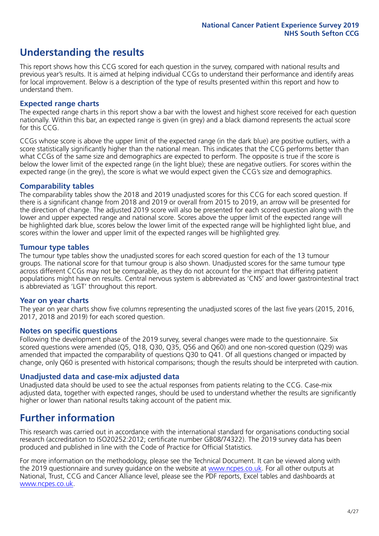### **Understanding the results**

This report shows how this CCG scored for each question in the survey, compared with national results and previous year's results. It is aimed at helping individual CCGs to understand their performance and identify areas for local improvement. Below is a description of the type of results presented within this report and how to understand them.

### **Expected range charts**

The expected range charts in this report show a bar with the lowest and highest score received for each question nationally. Within this bar, an expected range is given (in grey) and a black diamond represents the actual score for this CCG.

CCGs whose score is above the upper limit of the expected range (in the dark blue) are positive outliers, with a score statistically significantly higher than the national mean. This indicates that the CCG performs better than what CCGs of the same size and demographics are expected to perform. The opposite is true if the score is below the lower limit of the expected range (in the light blue); these are negative outliers. For scores within the expected range (in the grey), the score is what we would expect given the CCG's size and demographics.

### **Comparability tables**

The comparability tables show the 2018 and 2019 unadjusted scores for this CCG for each scored question. If there is a significant change from 2018 and 2019 or overall from 2015 to 2019, an arrow will be presented for the direction of change. The adjusted 2019 score will also be presented for each scored question along with the lower and upper expected range and national score. Scores above the upper limit of the expected range will be highlighted dark blue, scores below the lower limit of the expected range will be highlighted light blue, and scores within the lower and upper limit of the expected ranges will be highlighted grey.

### **Tumour type tables**

The tumour type tables show the unadjusted scores for each scored question for each of the 13 tumour groups. The national score for that tumour group is also shown. Unadjusted scores for the same tumour type across different CCGs may not be comparable, as they do not account for the impact that differing patient populations might have on results. Central nervous system is abbreviated as 'CNS' and lower gastrointestinal tract is abbreviated as 'LGT' throughout this report.

### **Year on year charts**

The year on year charts show five columns representing the unadjusted scores of the last five years (2015, 2016, 2017, 2018 and 2019) for each scored question.

#### **Notes on specific questions**

Following the development phase of the 2019 survey, several changes were made to the questionnaire. Six scored questions were amended (Q5, Q18, Q30, Q35, Q56 and Q60) and one non-scored question (Q29) was amended that impacted the comparability of questions Q30 to Q41. Of all questions changed or impacted by change, only Q60 is presented with historical comparisons; though the results should be interpreted with caution.

### **Unadjusted data and case-mix adjusted data**

Unadjusted data should be used to see the actual responses from patients relating to the CCG. Case-mix adjusted data, together with expected ranges, should be used to understand whether the results are significantly higher or lower than national results taking account of the patient mix.

### **Further information**

This research was carried out in accordance with the international standard for organisations conducting social research (accreditation to ISO20252:2012; certificate number GB08/74322). The 2019 survey data has been produced and published in line with the Code of Practice for Official Statistics.

For more information on the methodology, please see the Technical Document. It can be viewed along with the 2019 questionnaire and survey quidance on the website at [www.ncpes.co.uk](https://www.ncpes.co.uk/supporting-documents). For all other outputs at National, Trust, CCG and Cancer Alliance level, please see the PDF reports, Excel tables and dashboards at [www.ncpes.co.uk.](https://www.ncpes.co.uk/current-results)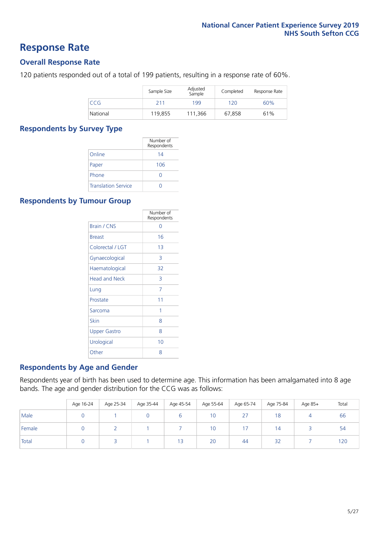### **Response Rate**

### **Overall Response Rate**

120 patients responded out of a total of 199 patients, resulting in a response rate of 60%.

|            | Sample Size | Adjusted<br>Sample | Completed | Response Rate |
|------------|-------------|--------------------|-----------|---------------|
| <b>CCG</b> | 211         | 199                | 120       | 60%           |
| National   | 119.855     | 111,366            | 67,858    | 61%           |

### **Respondents by Survey Type**

|                            | Number of<br>Respondents |
|----------------------------|--------------------------|
| Online                     | 14                       |
| Paper                      | 106                      |
| Phone                      | $\left( \right)$         |
| <b>Translation Service</b> |                          |

### **Respondents by Tumour Group**

|                      | Number of<br>Respondents |
|----------------------|--------------------------|
| <b>Brain / CNS</b>   | Ω                        |
| <b>Breast</b>        | 16                       |
| Colorectal / LGT     | 1 <sub>3</sub>           |
| Gynaecological       | 3                        |
| Haematological       | 32                       |
| <b>Head and Neck</b> | 3                        |
| Lung                 | 7                        |
| Prostate             | 11                       |
| Sarcoma              | 1                        |
| Skin                 | 8                        |
| <b>Upper Gastro</b>  | 8                        |
| Urological           | 10                       |
| Other                | 8                        |

### **Respondents by Age and Gender**

Respondents year of birth has been used to determine age. This information has been amalgamated into 8 age bands. The age and gender distribution for the CCG was as follows:

|        | Age 16-24 | Age 25-34 | Age 35-44 | Age 45-54 | Age 55-64 | Age 65-74 | Age 75-84 | Age 85+ | Total |
|--------|-----------|-----------|-----------|-----------|-----------|-----------|-----------|---------|-------|
| Male   |           |           |           |           | 10        | 27        | 18        |         | 66    |
| Female |           |           |           |           | 10        | 17        | 14        |         | 54    |
| Total  |           |           |           | 13        | 20        | 44        | 32        |         | 120   |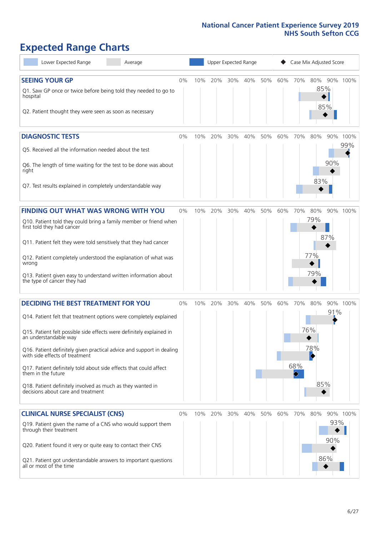## **Expected Range Charts**

| Lower Expected Range<br>Average                                                                                                                                                                                                                                                                                                                                                                                                                                                                                             | Upper Expected Range<br>Case Mix Adjusted Score |     |         |     |     |     |     |            |                                 |             |
|-----------------------------------------------------------------------------------------------------------------------------------------------------------------------------------------------------------------------------------------------------------------------------------------------------------------------------------------------------------------------------------------------------------------------------------------------------------------------------------------------------------------------------|-------------------------------------------------|-----|---------|-----|-----|-----|-----|------------|---------------------------------|-------------|
| <b>SEEING YOUR GP</b><br>Q1. Saw GP once or twice before being told they needed to go to<br>hospital<br>Q2. Patient thought they were seen as soon as necessary                                                                                                                                                                                                                                                                                                                                                             | 0%                                              | 10% | 20%     | 30% | 40% | 50% | 60% | 70%        | 80%<br>85%<br>85%               | 90% 100%    |
| <b>DIAGNOSTIC TESTS</b><br>Q5. Received all the information needed about the test<br>Q6. The length of time waiting for the test to be done was about<br>right<br>Q7. Test results explained in completely understandable way                                                                                                                                                                                                                                                                                               | $0\%$                                           | 10% | 20%     | 30% | 40% | 50% | 60% | 70%        | 80%<br>90%<br>90%<br>83%        | 100%<br>99% |
| FINDING OUT WHAT WAS WRONG WITH YOU<br>Q10. Patient told they could bring a family member or friend when<br>first told they had cancer<br>Q11. Patient felt they were told sensitively that they had cancer<br>Q12. Patient completely understood the explanation of what was<br>wrong<br>Q13. Patient given easy to understand written information about<br>the type of cancer they had                                                                                                                                    | $0\%$                                           | 10% | 20%     | 30% | 40% | 50% | 60% | 70%        | 80%<br>79%<br>87%<br>77%<br>79% | 90% 100%    |
| <b>DECIDING THE BEST TREATMENT FOR YOU</b><br>Q14. Patient felt that treatment options were completely explained<br>Q15. Patient felt possible side effects were definitely explained in<br>an understandable way<br>Q16. Patient definitely given practical advice and support in dealing<br>with side effects of treatment<br>Q17. Patient definitely told about side effects that could affect<br>them in the future<br>Q18. Patient definitely involved as much as they wanted in<br>decisions about care and treatment | 0%                                              | 10% | 20%     | 30% | 40% | 50% | 60% | 70%<br>68% | 80%<br>91%<br>76%<br>78%<br>85% | 90% 100%    |
| <b>CLINICAL NURSE SPECIALIST (CNS)</b><br>Q19. Patient given the name of a CNS who would support them<br>through their treatment<br>Q20. Patient found it very or quite easy to contact their CNS<br>Q21. Patient got understandable answers to important questions<br>all or most of the time                                                                                                                                                                                                                              | 0%                                              |     | 10% 20% | 30% | 40% | 50% | 60% | 70%        | 80%<br>93%<br>90%<br>86%        | 90% 100%    |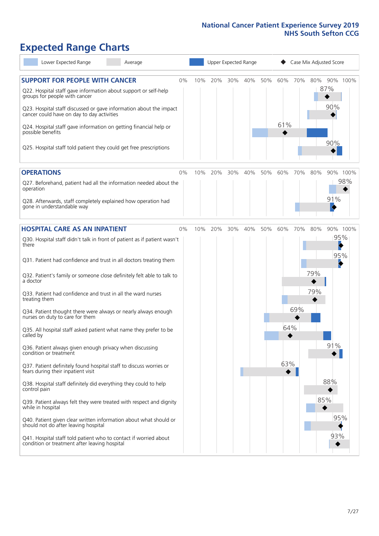### **Expected Range Charts**

| Lower Expected Range<br>Average                                                                                                                                                                                                                               |    |     |     |     | Upper Expected Range |     |     |     |     | Case Mix Adjusted Score |          |
|---------------------------------------------------------------------------------------------------------------------------------------------------------------------------------------------------------------------------------------------------------------|----|-----|-----|-----|----------------------|-----|-----|-----|-----|-------------------------|----------|
| <b>SUPPORT FOR PEOPLE WITH CANCER</b><br>Q22. Hospital staff gave information about support or self-help<br>groups for people with cancer<br>Q23. Hospital staff discussed or gave information about the impact<br>cancer could have on day to day activities | 0% | 10% | 20% | 30% | 40%                  | 50% | 60% | 70% | 80% | 87%<br>90%              | 90% 100% |
| Q24. Hospital staff gave information on getting financial help or<br>possible benefits<br>Q25. Hospital staff told patient they could get free prescriptions                                                                                                  |    |     |     |     |                      |     | 61% |     |     | 90%                     |          |
| <b>OPERATIONS</b>                                                                                                                                                                                                                                             | 0% | 10% | 20% | 30% | 40%                  | 50% | 60% | 70% | 80% |                         | 90% 100% |
| Q27. Beforehand, patient had all the information needed about the<br>operation<br>Q28. Afterwards, staff completely explained how operation had                                                                                                               |    |     |     |     |                      |     |     |     |     | 91%                     | 98%      |
| gone in understandable way                                                                                                                                                                                                                                    |    |     |     |     |                      |     |     |     |     |                         |          |
| <b>HOSPITAL CARE AS AN INPATIENT</b>                                                                                                                                                                                                                          | 0% | 10% | 20% | 30% | 40%                  | 50% | 60% | 70% | 80% |                         | 90% 100% |
| Q30. Hospital staff didn't talk in front of patient as if patient wasn't<br>there<br>Q31. Patient had confidence and trust in all doctors treating them                                                                                                       |    |     |     |     |                      |     |     |     |     | 95%<br>k<br>95%         |          |
| Q32. Patient's family or someone close definitely felt able to talk to<br>a doctor                                                                                                                                                                            |    |     |     |     |                      |     |     |     | 79% |                         |          |
| Q33. Patient had confidence and trust in all the ward nurses<br>treating them                                                                                                                                                                                 |    |     |     |     |                      |     |     |     | 79% |                         |          |
| Q34. Patient thought there were always or nearly always enough<br>nurses on duty to care for them                                                                                                                                                             |    |     |     |     |                      |     |     | 69% |     |                         |          |
| Q35. All hospital staff asked patient what name they prefer to be<br>called by                                                                                                                                                                                |    |     |     |     |                      |     | 64% |     |     |                         |          |
| Q36. Patient always given enough privacy when discussing<br>condition or treatment                                                                                                                                                                            |    |     |     |     |                      |     |     |     |     | 91%                     |          |
| Q37. Patient definitely found hospital staff to discuss worries or<br>fears during their inpatient visit                                                                                                                                                      |    |     |     |     |                      |     | 63% |     |     |                         |          |
| Q38. Hospital staff definitely did everything they could to help<br>control pain                                                                                                                                                                              |    |     |     |     |                      |     |     |     |     | 88%                     |          |
| Q39. Patient always felt they were treated with respect and dignity<br>while in hospital                                                                                                                                                                      |    |     |     |     |                      |     |     |     |     | 85%                     |          |
| Q40. Patient given clear written information about what should or<br>should not do after leaving hospital                                                                                                                                                     |    |     |     |     |                      |     |     |     |     | 95%                     |          |
| Q41. Hospital staff told patient who to contact if worried about<br>condition or treatment after leaving hospital                                                                                                                                             |    |     |     |     |                      |     |     |     |     | 93%                     |          |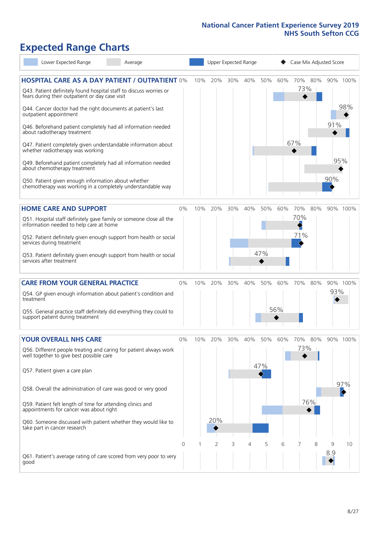### **Expected Range Charts**

| Lower Expected Range                                                                                                  | Average |          |     | Upper Expected Range |     |     | Case Mix Adjusted Score |     |     |     |     |          |
|-----------------------------------------------------------------------------------------------------------------------|---------|----------|-----|----------------------|-----|-----|-------------------------|-----|-----|-----|-----|----------|
| <b>HOSPITAL CARE AS A DAY PATIENT / OUTPATIENT 0%</b>                                                                 |         |          | 10% | 20%                  | 30% | 40% | 50%                     | 60% | 70% | 80% |     | 90% 100% |
| Q43. Patient definitely found hospital staff to discuss worries or<br>fears during their outpatient or day case visit |         |          |     |                      |     |     |                         |     | 73% |     |     |          |
| Q44. Cancer doctor had the right documents at patient's last<br>outpatient appointment                                |         |          |     |                      |     |     |                         |     |     |     |     | 98%      |
| Q46. Beforehand patient completely had all information needed<br>about radiotherapy treatment                         |         |          |     |                      |     |     |                         |     |     |     | 91% |          |
| Q47. Patient completely given understandable information about<br>whether radiotherapy was working                    |         |          |     |                      |     |     |                         |     | 67% |     |     |          |
| Q49. Beforehand patient completely had all information needed<br>about chemotherapy treatment                         |         |          |     |                      |     |     |                         |     |     |     | 95% |          |
| Q50. Patient given enough information about whether<br>chemotherapy was working in a completely understandable way    |         |          |     |                      |     |     |                         |     |     |     | 90% |          |
| <b>HOME CARE AND SUPPORT</b>                                                                                          |         | 0%       | 10% | 20%                  | 30% | 40% | 50%                     | 60% | 70% | 80% |     | 90% 100% |
| Q51. Hospital staff definitely gave family or someone close all the<br>information needed to help care at home        |         |          |     |                      |     |     |                         |     | 70% |     |     |          |
| Q52. Patient definitely given enough support from health or social<br>services during treatment                       |         |          |     |                      |     |     |                         |     | 71% |     |     |          |
| Q53. Patient definitely given enough support from health or social<br>services after treatment                        |         |          |     |                      |     |     | 47%                     |     |     |     |     |          |
| <b>CARE FROM YOUR GENERAL PRACTICE</b>                                                                                |         | 0%       | 10% | 20%                  | 30% | 40% | 50%                     | 60% | 70% | 80% |     | 90% 100% |
| Q54. GP given enough information about patient's condition and<br>treatment                                           |         |          |     |                      |     |     |                         |     |     |     | 93% |          |
| Q55. General practice staff definitely did everything they could to<br>support patient during treatment               |         |          |     |                      |     |     |                         | 56% |     |     |     |          |
| <b>YOUR OVERALL NHS CARE</b>                                                                                          |         | 0%       | 10% | 20%                  | 30% | 40% | 50%                     | 60% | 70% | 80% |     | 90% 100% |
| Q56. Different people treating and caring for patient always work<br>well together to give best possible care         |         |          |     |                      |     |     |                         |     | 73% |     |     |          |
| Q57. Patient given a care plan                                                                                        |         |          |     |                      |     |     | 47%                     |     |     |     |     |          |
| Q58. Overall the administration of care was good or very good                                                         |         |          |     |                      |     |     |                         |     |     |     |     | 97%      |
| Q59. Patient felt length of time for attending clinics and<br>appointments for cancer was about right                 |         |          |     |                      |     |     |                         |     |     | 76% |     |          |
| Q60. Someone discussed with patient whether they would like to<br>take part in cancer research                        |         |          |     | 20%                  |     |     |                         |     |     |     |     |          |
|                                                                                                                       |         | $\Omega$ |     | 2                    | 3   | 4   | 5                       | 6   |     | 8   | 9   | 10       |
| Q61. Patient's average rating of care scored from very poor to very<br>good                                           |         |          |     |                      |     |     |                         |     |     |     | 8.9 |          |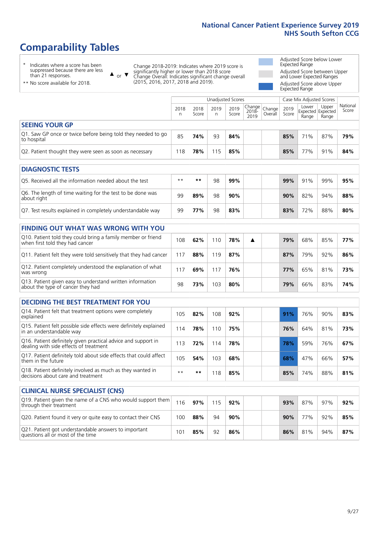### **Comparability Tables**

\* Indicates where a score has been suppressed because there are less than 21 responses.

\*\* No score available for 2018.

 $\triangle$  or  $\nabla$ 

Change 2018-2019: Indicates where 2019 score is significantly higher or lower than 2018 score Change Overall: Indicates significant change overall (2015, 2016, 2017, 2018 and 2019).

Adjusted Score below Lower Expected Range Adjusted Score between Upper and Lower Expected Ranges Adjusted Score above Upper Expected Range

|                                                                             |           |               | Unadjusted Scores |               |                         |                   |               | Case Mix Adjusted Scores            |                |                   |
|-----------------------------------------------------------------------------|-----------|---------------|-------------------|---------------|-------------------------|-------------------|---------------|-------------------------------------|----------------|-------------------|
|                                                                             | 2018<br>n | 2018<br>Score | 2019<br>n         | 2019<br>Score | Change<br>2018-<br>2019 | Change<br>Overall | 2019<br>Score | Lower<br>Expected Expected<br>Range | Upper<br>Range | National<br>Score |
| <b>SEEING YOUR GP</b>                                                       |           |               |                   |               |                         |                   |               |                                     |                |                   |
| Q1. Saw GP once or twice before being told they needed to go<br>to hospital | 85        | 74%           | 93                | 84%           |                         |                   | 85%           | 71%                                 | 87%            | 79%               |
| Q2. Patient thought they were seen as soon as necessary                     | 118       | 78%           | 115               | 85%           |                         |                   | 85%           | 77%                                 | 91%            | 84%               |
| <b>DIAGNOSTIC TESTS</b>                                                     |           |               |                   |               |                         |                   |               |                                     |                |                   |

| Q5. Received all the information needed about the test                    | $**$ | **  | 98 | 99% |  | 99% | 91% | 99% | 95% |
|---------------------------------------------------------------------------|------|-----|----|-----|--|-----|-----|-----|-----|
| Q6. The length of time waiting for the test to be done was<br>about right | 99   | 89% | 98 | 90% |  | 90% | 82% | 94% | 88% |
| Q7. Test results explained in completely understandable way               | 99   | 77% | 98 | 83% |  | 83% | 72% | 88% | 80% |

| <b>FINDING OUT WHAT WAS WRONG WITH YOU</b>                                                      |      |     |     |     |   |     |     |     |     |
|-------------------------------------------------------------------------------------------------|------|-----|-----|-----|---|-----|-----|-----|-----|
| Q10. Patient told they could bring a family member or friend<br>when first told they had cancer | 108  | 62% | 110 | 78% | A | 79% | 68% | 85% | 77% |
| Q11. Patient felt they were told sensitively that they had cancer                               | l 17 | 88% | 119 | 87% |   | 87% | 79% | 92% | 86% |
| Q12. Patient completely understood the explanation of what<br>was wrong                         | 17   | 69% | 17  | 76% |   | 77% | 65% | 81% | 73% |
| Q13. Patient given easy to understand written information<br>about the type of cancer they had  | 98   | 73% | 103 | 80% |   | 79% | 66% | 83% | 74% |

| <b>DECIDING THE BEST TREATMENT FOR YOU</b>                                                              |      |     |     |     |     |     |     |     |
|---------------------------------------------------------------------------------------------------------|------|-----|-----|-----|-----|-----|-----|-----|
| Q14. Patient felt that treatment options were completely<br>explained                                   | 105  | 82% | 108 | 92% | 91% | 76% | 90% | 83% |
| Q15. Patient felt possible side effects were definitely explained<br>in an understandable way           | 114  | 78% | 110 | 75% | 76% | 64% | 81% | 73% |
| Q16. Patient definitely given practical advice and support in<br>dealing with side effects of treatment | 113  | 72% | 114 | 78% | 78% | 59% | 76% | 67% |
| Q17. Patient definitely told about side effects that could affect<br>them in the future                 | 105  | 54% | 103 | 68% | 68% | 47% | 66% | 57% |
| Q18. Patient definitely involved as much as they wanted in<br>decisions about care and treatment        | $**$ | **  | 18  | 85% | 85% | 74% | 88% | 81% |

| <b>CLINICAL NURSE SPECIALIST (CNS)</b>                                                    |     |     |     |        |  |     |     |     |     |
|-------------------------------------------------------------------------------------------|-----|-----|-----|--------|--|-----|-----|-----|-----|
| Q19. Patient given the name of a CNS who would support them<br>through their treatment    | 116 | 97% | 115 | 92%    |  | 93% | 87% | 97% | 92% |
| Q20. Patient found it very or quite easy to contact their CNS                             | 100 | 88% | 94  | $90\%$ |  | 90% | 77% | 92% | 85% |
| Q21. Patient got understandable answers to important<br>questions all or most of the time | 101 | 85% | 92  | 86%    |  | 86% | 81% | 94% | 87% |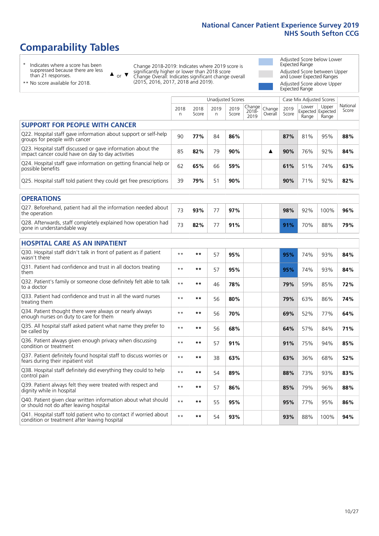### **Comparability Tables**

\* Indicates where a score has been suppressed because there are less than 21 responses.

\*\* No score available for 2018.

 $\triangle$  or  $\nabla$ 

Change 2018-2019: Indicates where 2019 score is significantly higher or lower than 2018 score Change Overall: Indicates significant change overall (2015, 2016, 2017, 2018 and 2019).

Adjusted Score below Lower Expected Range Adjusted Score between Upper and Lower Expected Ranges Adjusted Score above Upper Expected Range

|                                                                                                                   |              |               | <b>Unadjusted Scores</b> |               |                            |                   |               | Case Mix Adjusted Scores            |                |                   |
|-------------------------------------------------------------------------------------------------------------------|--------------|---------------|--------------------------|---------------|----------------------------|-------------------|---------------|-------------------------------------|----------------|-------------------|
|                                                                                                                   | 2018<br>n    | 2018<br>Score | 2019<br>$\mathsf{n}$     | 2019<br>Score | Change<br>$2018 -$<br>2019 | Change<br>Overall | 2019<br>Score | Lower<br>Expected Expected<br>Range | Upper<br>Range | National<br>Score |
| <b>SUPPORT FOR PEOPLE WITH CANCER</b>                                                                             |              |               |                          |               |                            |                   |               |                                     |                |                   |
| Q22. Hospital staff gave information about support or self-help<br>groups for people with cancer                  | 90           | 77%           | 84                       | 86%           |                            |                   | 87%           | 81%                                 | 95%            | 88%               |
| Q23. Hospital staff discussed or gave information about the<br>impact cancer could have on day to day activities  | 85           | 82%           | 79                       | 90%           |                            | ▲                 | 90%           | 76%                                 | 92%            | 84%               |
| Q24. Hospital staff gave information on getting financial help or<br>possible benefits                            | 62           | 65%           | 66                       | 59%           |                            |                   | 61%           | 51%                                 | 74%            | 63%               |
| Q25. Hospital staff told patient they could get free prescriptions                                                | 39           | 79%           | 51                       | 90%           |                            |                   | 90%           | 71%                                 | 92%            | 82%               |
| <b>OPERATIONS</b>                                                                                                 |              |               |                          |               |                            |                   |               |                                     |                |                   |
| Q27. Beforehand, patient had all the information needed about<br>the operation                                    | 73           | 93%           | 77                       | 97%           |                            |                   | 98%           | 92%                                 | 100%           | 96%               |
| Q28. Afterwards, staff completely explained how operation had<br>gone in understandable way                       | 73           | 82%           | 77                       | 91%           |                            |                   | 91%           | 70%                                 | 88%            | 79%               |
| <b>HOSPITAL CARE AS AN INPATIENT</b>                                                                              |              |               |                          |               |                            |                   |               |                                     |                |                   |
| Q30. Hospital staff didn't talk in front of patient as if patient<br>wasn't there                                 | $\star\star$ | $***$         | 57                       | 95%           |                            |                   | 95%           | 74%                                 | 93%            | 84%               |
| Q31. Patient had confidence and trust in all doctors treating<br>them                                             | $**$         | **            | 57                       | 95%           |                            |                   | 95%           | 74%                                 | 93%            | 84%               |
| Q32. Patient's family or someone close definitely felt able to talk<br>to a doctor                                | $\star\star$ | $***$         | 46                       | 78%           |                            |                   | 79%           | 59%                                 | 85%            | 72%               |
| O33. Patient had confidence and trust in all the ward nurses<br>treating them                                     | $**$         | $***$         | 56                       | 80%           |                            |                   | 79%           | 63%                                 | 86%            | 74%               |
| Q34. Patient thought there were always or nearly always<br>enough nurses on duty to care for them                 | $**$         | $***$         | 56                       | 70%           |                            |                   | 69%           | 52%                                 | 77%            | 64%               |
| Q35. All hospital staff asked patient what name they prefer to<br>be called by                                    | $**$         | $***$         | 56                       | 68%           |                            |                   | 64%           | 57%                                 | 84%            | 71%               |
| Q36. Patient always given enough privacy when discussing<br>condition or treatment                                | $**$         | $***$         | 57                       | 91%           |                            |                   | 91%           | 75%                                 | 94%            | 85%               |
| Q37. Patient definitely found hospital staff to discuss worries or<br>fears during their inpatient visit          | $**$         | $***$         | 38                       | 63%           |                            |                   | 63%           | 36%                                 | 68%            | 52%               |
| Q38. Hospital staff definitely did everything they could to help<br>control pain                                  | $* *$        | $***$         | 54                       | 89%           |                            |                   | 88%           | 73%                                 | 93%            | 83%               |
| Q39. Patient always felt they were treated with respect and<br>dignity while in hospital                          | $* *$        | $***$         | 57                       | 86%           |                            |                   | 85%           | 79%                                 | 96%            | 88%               |
| Q40. Patient given clear written information about what should<br>or should not do after leaving hospital         | $\star\star$ | **            | 55                       | 95%           |                            |                   | 95%           | 77%                                 | 95%            | 86%               |
| Q41. Hospital staff told patient who to contact if worried about<br>condition or treatment after leaving hospital | $* *$        | **            | 54                       | 93%           |                            |                   | 93%           | 88%                                 | 100%           | 94%               |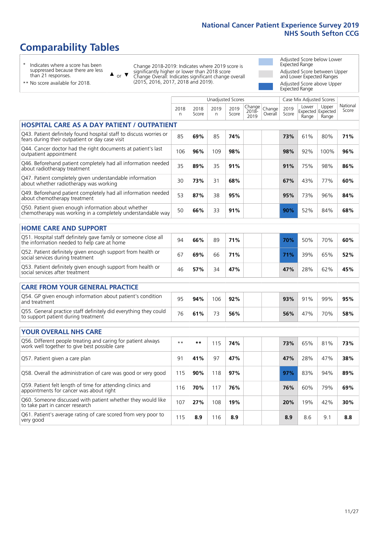### **Comparability Tables**

\* Indicates where a score has been suppressed because there are less than 21 responses.

\*\* No score available for 2018.

or  $\blacktriangledown$  $\blacktriangle$ 

Change 2018-2019: Indicates where 2019 score is significantly higher or lower than 2018 score Change Overall: Indicates significant change overall (2015, 2016, 2017, 2018 and 2019).

Adjusted Score below Lower Expected Range Adjusted Score between Upper and Lower Expected Ranges Adjusted Score above Upper Expected Range

> National Score

|                                                                                                                       |           |               |           | <b>Unadjusted Scores</b> |                            |                   |               | Case Mix Adjusted Scores |                                     |                  |
|-----------------------------------------------------------------------------------------------------------------------|-----------|---------------|-----------|--------------------------|----------------------------|-------------------|---------------|--------------------------|-------------------------------------|------------------|
|                                                                                                                       | 2018<br>n | 2018<br>Score | 2019<br>n | 2019<br>Score            | Change<br>$2018 -$<br>2019 | Change<br>Overall | 2019<br>Score | Lower<br>Range           | Upper<br>Expected Expected<br>Range | Nationa<br>Score |
| <b>HOSPITAL CARE AS A DAY PATIENT / OUTPATIENT</b>                                                                    |           |               |           |                          |                            |                   |               |                          |                                     |                  |
| Q43. Patient definitely found hospital staff to discuss worries or<br>fears during their outpatient or day case visit | 85        | 69%           | 85        | 74%                      |                            |                   | 73%           | 61%                      | 80%                                 | 71%              |
| Q44. Cancer doctor had the right documents at patient's last<br>outpatient appointment                                | 106       | 96%           | 109       | 98%                      |                            |                   | 98%           | 92%                      | 100%                                | 96%              |
| Q46. Beforehand patient completely had all information needed<br>about radiotherapy treatment                         | 35        | 89%           | 35        | 91%                      |                            |                   | 91%           | 75%                      | 98%                                 | 86%              |
| Q47. Patient completely given understandable information<br>about whether radiotherapy was working                    | 30        | 73%           | 31        | 68%                      |                            |                   | 67%           | 43%                      | 77%                                 | 60%              |
| Q49. Beforehand patient completely had all information needed<br>about chemotherapy treatment                         | 53        | 87%           | 38        | 95%                      |                            |                   | 95%           | 73%                      | 96%                                 | 84%              |
| Q50. Patient given enough information about whether<br>chemotherapy was working in a completely understandable way    | 50        | 66%           | 33        | 91%                      |                            |                   | 90%           | 52%                      | 84%                                 | 68%              |
| <b>HOME CARE AND SUPPORT</b>                                                                                          |           |               |           |                          |                            |                   |               |                          |                                     |                  |
| Q51. Hospital staff definitely gave family or someone close all<br>the information needed to help care at home        | 94        | 66%           | 89        | 71%                      |                            |                   | 70%           | 50%                      | 70%                                 | 60%              |
| Q52. Patient definitely given enough support from health or<br>social services during treatment                       | 67        | 69%           | 66        | 71%                      |                            |                   | 71%           | 39%                      | 65%                                 | 52%              |
| Q53. Patient definitely given enough support from health or<br>social services after treatment                        | 46        | 57%           | 34        | 47%                      |                            |                   | 47%           | 28%                      | 62%                                 | 45%              |
| <b>CARE FROM YOUR GENERAL PRACTICE</b>                                                                                |           |               |           |                          |                            |                   |               |                          |                                     |                  |
| Q54. GP given enough information about patient's condition<br>and treatment                                           | 95        | 94%           | 106       | 92%                      |                            |                   | 93%           | 91%                      | 99%                                 | 95%              |
| Q55. General practice staff definitely did everything they could<br>to support patient during treatment               | 76        | 61%           | 73        | 56%                      |                            |                   | 56%           | 47%                      | 70%                                 | 58%              |
| <b>YOUR OVERALL NHS CARE</b>                                                                                          |           |               |           |                          |                            |                   |               |                          |                                     |                  |
|                                                                                                                       |           |               |           |                          |                            |                   |               |                          |                                     |                  |

| Q56. Different people treating and caring for patient always<br>work well together to give best possible care | $**$ | **  | 115 | 74% | 73% | 65% | 81% | 73% |
|---------------------------------------------------------------------------------------------------------------|------|-----|-----|-----|-----|-----|-----|-----|
| Q57. Patient given a care plan                                                                                | 91   | 41% | 97  | 47% | 47% | 28% | 47% | 38% |
| Q58. Overall the administration of care was good or very good                                                 | 115  | 90% | 118 | 97% | 97% | 83% | 94% | 89% |
| Q59. Patient felt length of time for attending clinics and<br>appointments for cancer was about right         | 116  | 70% | 117 | 76% | 76% | 60% | 79% | 69% |
| Q60. Someone discussed with patient whether they would like<br>to take part in cancer research                | 107  | 27% | 108 | 19% | 20% | 19% | 42% | 30% |
| Q61. Patient's average rating of care scored from very poor to<br>very good                                   | 115  | 8.9 | 116 | 8.9 | 8.9 | 8.6 | 9.1 | 8.8 |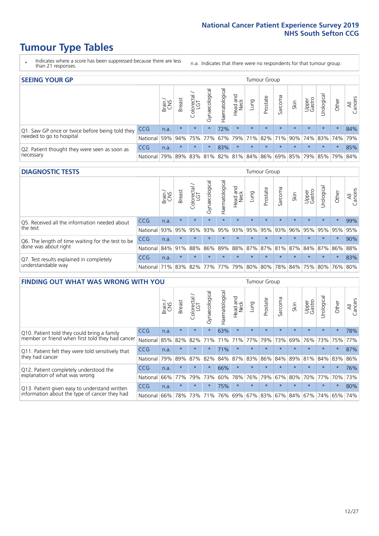### **Tumour Type Tables**

- \* Indicates where a score has been suppressed because there are less than 21 responses.
- n.a. Indicates that there were no respondents for that tumour group.

| <b>SEEING YOUR GP</b>                           |            |       |               |                   |                |                |                  |                 | Tumour Group |         |         |                 |                                                 |         |                |
|-------------------------------------------------|------------|-------|---------------|-------------------|----------------|----------------|------------------|-----------------|--------------|---------|---------|-----------------|-------------------------------------------------|---------|----------------|
|                                                 |            | Brain | <b>Breast</b> | Colorectal<br>LGT | Gynaecological | Haematological | Head and<br>Neck | Dung            | Prostate     | Sarcoma | Skin    | Upper<br>Gastro | Jrological                                      | Other   | All<br>Cancers |
| Q1. Saw GP once or twice before being told they | <b>CCG</b> | n.a.  | $\star$       | $\star$           | $\star$        | 72%            | $\star$          | $\star$         | $\star$      | $\star$ | $\star$ | $\star$         | $\star$                                         | $\star$ | 84%            |
| needed to go to hospital                        | National   | 59%   |               | 94% 75% 77%       |                |                |                  | 67% 79% 71% 82% |              |         |         |                 | 71% 90% 74% 83% 74%                             |         | 79%            |
| Q2. Patient thought they were seen as soon as   | <b>CCG</b> | n.a.  | $\star$       | $\star$           |                | 83%            | $\star$          | $\star$         | $\star$      | $\star$ | $\star$ | $\star$         | $\star$                                         | $\star$ | 85%            |
| necessary                                       | National l | 79%   |               |                   |                |                |                  |                 |              |         |         |                 | 89% 83% 81% 82% 81% 84% 86% 69% 85% 79% 85% 79% |         | 84%            |

#### **DIAGNOSTIC TESTS** Tumour Group

|                                                   |                                                                  | Brain | <b>Breast</b> | Colorectal<br>LGT | $\overline{\sigma}$<br>Gynaecologic | Haematological | Head and<br>Neck | Lung    | Prostate | Sarcoma | Skin    | Upper<br>Gastro | Irologica                                   | Other   | All<br>Cancers |
|---------------------------------------------------|------------------------------------------------------------------|-------|---------------|-------------------|-------------------------------------|----------------|------------------|---------|----------|---------|---------|-----------------|---------------------------------------------|---------|----------------|
| Q5. Received all the information needed about     | <b>CCG</b>                                                       | n.a.  | $\star$       | $\star$           | $\star$                             | $\star$        | $\star$          | $\star$ | $\star$  | $\star$ | $\star$ | $\star$         | $\star$                                     | $\star$ | 99%            |
| I the test                                        | National                                                         | 93%   | 95%           | 95%               | 93%                                 | 95%            |                  | 93% 95% | 95%      | 93%     | 96%     | 95%             | 95%                                         | 95%     | 95%            |
| Q6. The length of time waiting for the test to be | <b>CCG</b>                                                       | n.a.  | $\star$       | $\star$           | $\star$                             | $\star$        | $\star$          | $\star$ | $\star$  | $\star$ | $\star$ | $\star$         | $\star$                                     | $\star$ | 90%            |
| done was about right                              | National 84%                                                     |       | 91%           | 88%               |                                     |                |                  |         |          |         |         |                 | 86% 89% 88% 87% 87% 81% 87% 84% 87% 86% 88% |         |                |
| Q7. Test results explained in completely          | <b>CCG</b>                                                       | n.a.  | $\star$       | $\star$           | $\star$                             | $\star$        | $\star$          | $\star$ | $\star$  | $\star$ | $\star$ | $\star$         | $\star$                                     | $\star$ | 83%            |
| understandable way                                | National 71% 83% 82% 77% 77% 79% 80% 80% 78% 84% 75% 80% 76% 80% |       |               |                   |                                     |                |                  |         |          |         |         |                 |                                             |         |                |

| <b>FINDING OUT WHAT WAS WRONG WITH YOU</b>        |            |       |               |                 |                |                |                        |             | <b>Tumour Group</b> |         |         |                 |           |         |                |
|---------------------------------------------------|------------|-------|---------------|-----------------|----------------|----------------|------------------------|-------------|---------------------|---------|---------|-----------------|-----------|---------|----------------|
|                                                   |            | Brain | <b>Breast</b> | ╮<br>Colorectal | Gynaecological | Haematological | ad and<br>Neck<br>Head | Lung        | Prostate            | Sarcoma | Skin    | Upper<br>Gastro | Jrologica | Other   | All<br>Cancers |
| Q10. Patient told they could bring a family       | <b>CCG</b> | n.a.  | $\star$       | $\star$         | $\star$        | 63%            | $\star$                | $\star$     | $\star$             | $\star$ | $\star$ | $\star$         | $\star$   | $\star$ | 78%            |
| member or friend when first told they had cancer  | National   | 85%   | 82%           | 82%             | 71%            | 71%            | 71%                    | 77%         | 79%                 | 73%     | 69%     | 76%             | 73% 75%   |         | 77%            |
| Q11. Patient felt they were told sensitively that | CCG        | n.a.  | $\star$       | $\star$         | $\star$        | 71%            | $\star$                | $\star$     | $\star$             | $\star$ | $\star$ | $\star$         | $\star$   | $\star$ | 87%            |
| they had cancer                                   | National   | 79%   | 89%           | 87%             | 82%            | 84%            | 87%                    | 83%         | 86%                 | 84%     | 89%     | 81%             | 84% 83%   |         | 86%            |
| Q12. Patient completely understood the            | <b>CCG</b> | n.a.  | $\star$       | $\star$         | $\star$        | 66%            | $\star$                | $\star$     | $\star$             |         |         | $\star$         | $\star$   | $\star$ | 76%            |
| explanation of what was wrong                     | National   | 66%   | 77%           | 79%             | 73%            | 60%            | 78%                    | 76%         | 79%                 | 67%     | 80%     | 70%             | 77%       | 70%     | 73%            |
| Q13. Patient given easy to understand written     | CCG        | n.a.  | $\star$       | $\star$         | $\star$        | 75%            | $\ast$                 | $\star$     | $\star$             | $\star$ | $\star$ | $\star$         | $\star$   | $\ast$  | 80%            |
| information about the type of cancer they had     | National   | 66%   | 78%           | 73%             | 71%            | 76%            |                        | 69% 67% 83% |                     |         | 67% 84% | 67%             | 74%       | 65%     | 74%            |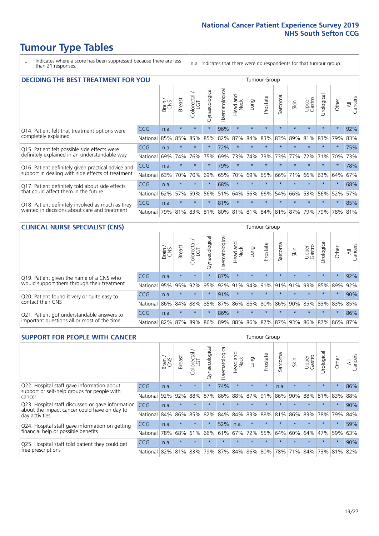### **Tumour Type Tables**

\* Indicates where a score has been suppressed because there are less than 21 responses.

n.a. Indicates that there were no respondents for that tumour group.

| <b>DECIDING THE BEST TREATMENT FOR YOU</b>         |            |       |               |                             |                |                |                         |         | <b>Tumour Group</b> |                                         |         |                 |            |         |                |
|----------------------------------------------------|------------|-------|---------------|-----------------------------|----------------|----------------|-------------------------|---------|---------------------|-----------------------------------------|---------|-----------------|------------|---------|----------------|
|                                                    |            | Brain | <b>Breast</b> | olorectal.<br>LGT<br>$\cup$ | Gynaecological | Haematological | ead and<br>Neck<br>Head | Lung    | Prostate            | arcoma<br>$\sqrt{ }$                    | Skin    | Upper<br>Gastro | Jrological | Other   | All<br>Cancers |
| Q14. Patient felt that treatment options were      | CCG        | n.a.  | $\star$       | $\star$                     | $\star$        | 96%            | $\star$                 | $\star$ | $\star$             | $\star$                                 | $\star$ | $\star$         | $\star$    | $\star$ | 92%            |
| completely explained                               | National   | 85%   | 85%           | 85%                         | 85%            | 82%            | 87%                     | 84%     | 83%                 | 83%                                     | 89%     | 81%             | 83%        | 79%     | 83%            |
| Q15. Patient felt possible side effects were       | CCG        | n.a.  | $\star$       |                             | $\star$        | 72%            | $\star$                 | $\star$ | $\star$             | 大                                       |         | $\star$         | $\star$    | $\star$ | 75%            |
| definitely explained in an understandable way      | National   | 69%   | 74%           | 76%                         | 75%            | 69%            | 73%                     | 74%     | 73%                 | 73%                                     | 77%     | 72%             | 71%        | 70%     | 73%            |
| Q16. Patient definitely given practical advice and | <b>CCG</b> | n.a.  | $\star$       |                             | $\star$        | 79%            | $\star$                 | $\star$ | $\star$             | $\star$                                 | $\star$ | $\star$         | $\star$    | $\star$ | 78%            |
| support in dealing with side effects of treatment  | National   | 63%   | 70%           | 70%                         | 69%            | 65%            | 70%                     | 69%     | 65%                 | 66%                                     | 71%     | 66%             | 63%        | 64%     | 67%            |
| Q17. Patient definitely told about side effects    | CCG        | n.a.  | $\star$       | $\star$                     | $\star$        | 68%            | $\star$                 | $\star$ | $\star$             | $\star$                                 | $\star$ | $\star$         | $\star$    | $\star$ | 68%            |
| that could affect them in the future               | National   | 62%   | 57%           | 59%                         | 56%            | 51%            | 64%                     | 56%     | 66%                 | 54%                                     | 66%     | 53%             | 56%        | 52%     | 57%            |
| Q18. Patient definitely involved as much as they   | CCG        | n.a.  | $\star$       | $\star$                     | $\star$        | 81%            | $\star$                 | $\star$ | $\star$             | $\star$                                 | $\star$ | $\star$         | $\star$    | $\star$ | 85%            |
| wanted in decisions about care and treatment       | National   | 79%   |               |                             |                |                |                         |         |                     | 81% 83% 81% 80% 81% 81% 84% 81% 87% 79% |         |                 | 79%        | 78% 81% |                |

#### **CLINICAL NURSE SPECIALIST (CNS)** Tumour Group

|                                             |                  | Brain | <b>Breast</b> | Colorectal | $\overline{\sigma}$<br>Gynaecologic | Haematological                    | Head and<br>Neck | Lung    | Prostate | Sarcoma | Skin    | Upper<br>Gastro | rological                                   | Other   | All<br>Cancers |
|---------------------------------------------|------------------|-------|---------------|------------|-------------------------------------|-----------------------------------|------------------|---------|----------|---------|---------|-----------------|---------------------------------------------|---------|----------------|
| Q19. Patient given the name of a CNS who    | <b>CCG</b>       | n.a.  | $\star$       | $\star$    | $\star$                             | 87%                               | $\star$          | $\star$ | $\star$  | $\star$ | $\star$ | $\star$         | $\star$                                     | $\star$ | 92%            |
| would support them through their treatment  | National         | 95%   | 95%           | 92%        | 95%                                 |                                   | 92% 91% 94% 91%  |         |          | 91%     | 91%     | 93%             | 85% 89%                                     |         | 92%            |
| Q20. Patient found it very or quite easy to | <b>CCG</b>       | n.a.  | $\star$       | $\star$    |                                     | 91%                               | $\star$          | $\star$ | $\star$  | $\star$ | $\star$ | $\star$         | $\star$                                     | $\star$ | 90%            |
| contact their CNS                           | National         | 86%   |               | 84% 88%    |                                     | 85%   87%   86%   86%   80%   86% |                  |         |          |         |         |                 | 90% 85% 83% 83% 85%                         |         |                |
| Q21. Patient got understandable answers to  | <b>CCG</b>       | n.a.  | $\star$       | $\star$    |                                     | 86%                               | $\star$          | $\star$ | $\star$  | $\star$ | $\star$ | $\star$         | $\star$                                     | $\star$ | 86%            |
| important questions all or most of the time | National 82% 87% |       |               | 89%        |                                     |                                   |                  |         |          |         |         |                 | 86% 89% 88% 86% 87% 87% 93% 86% 87% 86% 87% |         |                |

| <b>SUPPORT FOR PEOPLE WITH CANCER</b>                                                             |            |       |               |            |                |                |                         |         | <b>Tumour Group</b> |         |         |                 |            |         |                |
|---------------------------------------------------------------------------------------------------|------------|-------|---------------|------------|----------------|----------------|-------------------------|---------|---------------------|---------|---------|-----------------|------------|---------|----------------|
|                                                                                                   |            | Brain | <b>Breast</b> | Colorectal | Gynaecological | Haematological | ead and<br>Neck<br>Head | Lung    | Prostate            | Sarcoma | Skin    | Upper<br>Gastro | Jrological | Other   | All<br>Cancers |
| Q22. Hospital staff gave information about<br>support or self-help groups for people with         | CCG        | n.a.  | $\star$       | $\star$    | $\star$        | 74%            | $\star$                 | $\star$ | $\star$             | n.a.    | $\star$ | $\star$         | $\star$    | $\star$ | 86%            |
| cancer                                                                                            | National   | 92%   | 92%           | 88%        | 87%            | 86%            | 88%                     | 87%     | 91%                 | 86%     | 90%     | 88%             | 81%        | 83%     | 88%            |
| Q23. Hospital staff discussed or gave information<br>about the impact cancer could have on day to | CCG        | n.a.  | $\star$       | $\star$    | $\star$        | $\star$        | $\star$                 | $\star$ | $\star$             | $\star$ | $\star$ | $\star$         | $\star$    | $\star$ | 90%            |
| day activities                                                                                    | National   | 84%   | 86%           | 85%        | 82%            | 84%            | 84%                     | 83%     | 88%                 | 81%     | 86%     | 83%             | 78%        | 79%     | 84%            |
| Q24. Hospital staff gave information on getting                                                   | CCG        | n.a.  | $\star$       | $\star$    | $\star$        | 52%            | n.a.                    | $\star$ | $\star$             | $\star$ |         | $\star$         | $\star$    | $\ast$  | 59%            |
| financial help or possible benefits                                                               | National   | 78%   | 68%           | 61%        | 66%            | 61%            | 67%                     | 72%     | 55%                 | 64%     | 60%     | 64%             | 47%        | 59%     | 63%            |
| Q25. Hospital staff told patient they could get                                                   | <b>CCG</b> | n.a.  | $\star$       | $\star$    | $\star$        |                | $\star$                 | $\star$ | $\star$             | $\star$ | $\star$ | $\star$         | $\star$    | $\star$ | 90%            |
| free prescriptions                                                                                | National I | 82%   | 81%           | 83%        | 79%            | 87%            |                         |         | 84% 86% 80%         | 78%     | 71%     | 84%             | 73%        | 81%     | 82%            |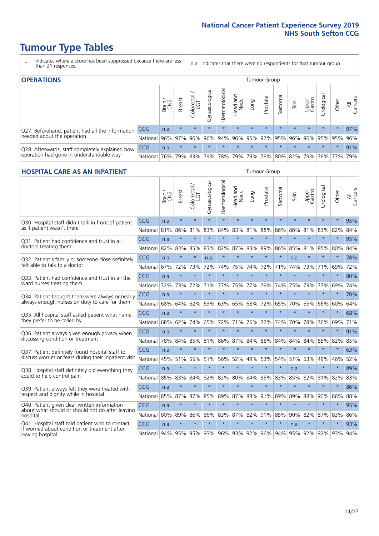### **Tumour Type Tables**

- \* Indicates where a score has been suppressed because there are less than 21 responses.
- n.a. Indicates that there were no respondents for that tumour group.

| <b>OPERATIONS</b>                                |            |              |               |                   |                |                |                  |         | Tumour Group                                  |         |         |                 |             |         |                |
|--------------------------------------------------|------------|--------------|---------------|-------------------|----------------|----------------|------------------|---------|-----------------------------------------------|---------|---------|-----------------|-------------|---------|----------------|
|                                                  |            | Brain<br>CNS | <b>Breast</b> | Colorectal<br>LGT | Gynaecological | Haematological | Head and<br>Neck | Lung    | Prostate                                      | Sarcoma | Skin    | Upper<br>Gastro | Jrological  | Other   | All<br>Cancers |
| Q27. Beforehand, patient had all the information | <b>CCG</b> | n.a.         | $\star$       | $\star$           | $\star$        | $\star$        | $\star$          | $\star$ | $\star$                                       | $\star$ | $\star$ | $\star$         | $\star$     | $\star$ | 97%            |
| needed about the operation                       | National   | 96%          | 97%           | 96%               | 96%            | 94%            |                  |         | 96% 95% 97% 95% 96%                           |         |         |                 | 96% 95% 95% |         | 96%            |
| Q28. Afterwards, staff completely explained how  | <b>CCG</b> | n.a.         | $\star$       | $\star$           | $\star$        | $\star$        | $\star$          | $\star$ | $\star$                                       | $\star$ | $\star$ | $\star$         | $\star$     | $\star$ | 91%            |
| operation had gone in understandable way         | National   | 76%          |               | 79% 83%           |                |                |                  |         | 79%   78%   79%   79%   78%   80%   82%   79% |         |         |                 |             | 76% 77% | 79%            |

### **HOSPITAL CARE AS AN INPATIENT** TUMOUR STOUP TUMOUR Group

|                                                                                                                      |            | Brain | <b>Breast</b> | Colorectal /<br>LGT | Gynaecological | Haematological | Head and<br><b>Neck</b> | Lung    | Prostate | Sarcoma | Skin    | Upper<br>Gastro | Urological | Other   | All<br>Cancers |
|----------------------------------------------------------------------------------------------------------------------|------------|-------|---------------|---------------------|----------------|----------------|-------------------------|---------|----------|---------|---------|-----------------|------------|---------|----------------|
| Q30. Hospital staff didn't talk in front of patient                                                                  | CCG        | n.a.  | $\star$       | $\star$             | $\star$        | $\star$        | $\star$                 | $\star$ | $\star$  | $\star$ | $\star$ | $\star$         | $\star$    | $\star$ | 95%            |
| as if patient wasn't there                                                                                           | National   | 81%   | 86%           | 81%                 | 83%            | 84%            | 83%                     | 81%     | 88%      | 86%     | 86%     | 81%             | 83%        | 82%     | 84%            |
| 031. Patient had confidence and trust in all                                                                         | CCG        | n.a.  | $\star$       | $\star$             | $\star$        | $\star$        | $\star$                 | $\star$ | $\star$  | $\star$ | $\star$ | $\star$         | $\star$    | $\star$ | 95%            |
| doctors treating them                                                                                                | National   | 82%   | 83%           | 85%                 | 83%            | 82%            | 87%                     | 83%     | 89%      | 86%     | 85%     | 81%             | 85%        | 80%     | 84%            |
| Q32. Patient's family or someone close definitely                                                                    | CCG        | n.a.  | $\star$       | $\star$             | n.a.           |                | $\star$                 | $\star$ | $\star$  | $\star$ | n.a.    |                 | $\star$    | $\star$ | 78%            |
| felt able to talk to a doctor                                                                                        | National   | 67%   | 72%           | 73%                 | 72%            | 74%            | 75%                     | 74%     | 72%      | 71%     | 74%     | 73%             | 71%        | 69%     | 72%            |
| Q33. Patient had confidence and trust in all the<br>ward nurses treating them                                        | CCG        | n.a.  | $\star$       | $\star$             | $\star$        | $\star$        | $\star$                 | $\star$ | $\star$  | $\star$ | $\star$ | $\star$         | $\star$    | $\star$ | 80%            |
|                                                                                                                      | National   | 72%   | 73%           | 72%                 | 71%            | 77%            | 75%                     | 77%     | 79%      | 74%     | 75%     | 73%             | 77%        | 69%     | 74%            |
| Q34. Patient thought there were always or nearly<br>always enough nurses on duty to care for them                    | CCG        | n.a.  | $\star$       | $\star$             | $\star$        | $\star$        | $\star$                 | $\star$ | $\star$  | $\star$ | $\star$ | $\star$         | $\star$    | $\star$ | 70%            |
|                                                                                                                      | National   | 68%   | 64%           | 62%                 | 63%            | 63%            | 65%                     | 68%     | 72%      | 65%     |         | 70% 65%         | 66%        | 60%     | 64%            |
| Q35. All hospital staff asked patient what name                                                                      | CCG        | n.a.  | $\star$       | $\star$             | $\star$        | $\star$        | $\star$                 | $\star$ | $\star$  | $\star$ | $\star$ | $\star$         | $\star$    | $\star$ | 68%            |
| they prefer to be called by                                                                                          | National   | 68%   | 62%           | 74%                 | 65%            | 72%            | 71%                     | 76%     | 72%      | 74%     | 70%     | 78%             | 76%        | 69%     | 71%            |
| Q36. Patient always given enough privacy when                                                                        | CCG        | n.a.  | $\star$       | $\star$             | $\star$        | $\star$        | $\star$                 | $\star$ | $\star$  | $\star$ | $\star$ | $\star$         | $\star$    | $\star$ | 91%            |
| discussing condition or treatment                                                                                    | National   | 78%   | 84%           | 85%                 | 81%            | 86%            | 87%                     | 84%     | 88%      | 84%     | 84%     | 84%             | 85%        | 82%     | 85%            |
| Q37. Patient definitely found hospital staff to                                                                      | CCG        | n.a.  | $\star$       | $\star$             | $\star$        | $\star$        | $\star$                 | $\star$ | $\star$  | $\star$ | $\star$ | $\star$         | $\star$    | $\star$ | 63%            |
| discuss worries or fears during their inpatient visit                                                                | National   | 45%   | 51%           | 55%                 | 51%            | 56%            | 52%                     | 49%     | 53%      | 54%     |         | 51% 53%         | 49%        | 46%     | 52%            |
| Q38. Hospital staff definitely did everything they                                                                   | CCG        | n.a.  | $\star$       | $\star$             | $\star$        | $\star$        | $\star$                 | $\star$ | $\star$  | $\star$ | n.a.    | $\star$         | $\star$    | $\star$ | 89%            |
| could to help control pain                                                                                           | National   | 85%   | 83%           | 84%                 | 82%            | 82%            | 80%                     | 84%     | 85%      | 83%     | 85%     | 82%             | 81%        | 82%     | 83%            |
| Q39. Patient always felt they were treated with                                                                      | CCG        | n.a.  | $\star$       | $\star$             | $\star$        | $\star$        | $\star$                 | $\star$ | $\star$  | $\star$ | $\star$ | $\star$         | $\star$    | $\star$ | 86%            |
| respect and dignity while in hospital                                                                                | National   | 85%   | 87%           | 87%                 | 85%            | 89%            | 87%                     | 88%     | 91%      | 89%     | 89%     | 88%             | 90%        | 86%     | 88%            |
| Q40. Patient given clear written information<br>about what should or should not do after leaving                     | CCG        | n.a.  | $\star$       | $\star$             | $\star$        | $\star$        | $\star$                 | $\star$ | $\star$  | $\star$ | $\star$ | $\star$         | $\star$    | $\star$ | 95%            |
| hospital                                                                                                             | National   | 80%   | 89%           | 86%                 | 86%            | 83%            |                         | 87% 82% | 91%      | 85%     | 90%     | 82%             | 87%        | 83%     | 86%            |
| Q41. Hospital staff told patient who to contact<br>if worried about condition or treatment after<br>leaving hospital | CCG        | n.a.  | $\star$       | $\star$             | $\star$        | $\star$        | $\star$                 | $\star$ | $\star$  | $\star$ | n.a.    | $\star$         | $\star$    | $\star$ | 93%            |
|                                                                                                                      | National I | 94%   |               | 95% 95% 93%         |                |                | 96% 93% 92%             |         | 96%      | 94%     |         | 95% 92%         |            | 92% 93% | 94%            |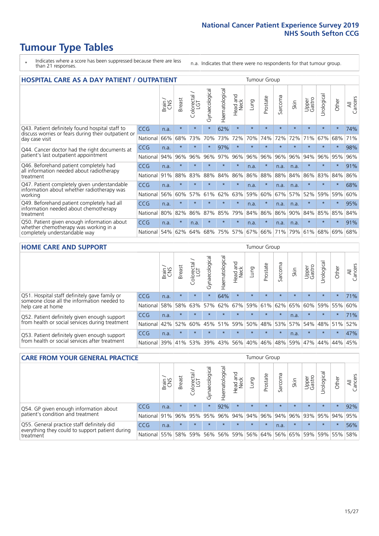### **Tumour Type Tables**

- \* Indicates where a score has been suppressed because there are less than 21 responses.
- n.a. Indicates that there were no respondents for that tumour group.

| <b>HOSPITAL CARE AS A DAY PATIENT / OUTPATIENT</b>                                                                    |            |       |               |                       |                |                |                                |         | <b>Tumour Group</b> |                               |         |                 |            |         |                |  |  |
|-----------------------------------------------------------------------------------------------------------------------|------------|-------|---------------|-----------------------|----------------|----------------|--------------------------------|---------|---------------------|-------------------------------|---------|-----------------|------------|---------|----------------|--|--|
|                                                                                                                       |            | Brain | <b>Breast</b> | olorectal<br>LGT<br>Ū | Gynaecological | Haematological | <b>Bad and</b><br>Neck<br>Head | Lung    | Prostate            | arcoma<br>$\overline{\Omega}$ | Skin    | Upper<br>Gastro | Urological | Other   | All<br>Cancers |  |  |
| Q43. Patient definitely found hospital staff to                                                                       | <b>CCG</b> | n.a.  | $\star$       | $\star$               | $\star$        | 62%            | $\star$                        | $\star$ | $\star$             | $\star$                       | $\star$ | $\star$         | $\star$    | $\star$ | 74%            |  |  |
| discuss worries or fears during their outpatient or<br>day case visit                                                 | National   | 66%   | 68%           | 73%                   | 70%            | 73%            | 72%                            | 70%     | 74%                 | 72%                           | 72%     | 71%             | 67%        | 68%     | 71%            |  |  |
| Q44. Cancer doctor had the right documents at<br>patient's last outpatient appointment                                | CCG        | n.a.  | $\star$       | $\star$               | $\star$        | 97%            | $\star$                        | $\star$ | $\star$             | $\star$                       |         | $\star$         | $\star$    | $\star$ | 98%            |  |  |
|                                                                                                                       | National   | 94%   | 96%           | 96%                   | 96%            | 97%            | 96%                            | 96%     | 96%                 | 96%                           | 96%     | 94%             | 96%        | 95%     | 96%            |  |  |
| Q46. Beforehand patient completely had<br>all information needed about radiotherapy                                   | <b>CCG</b> | n.a.  | $\star$       | $\star$               |                |                | $\star$                        | n.a.    | $\star$             | n.a.                          | n.a.    | $\star$         |            | $\star$ | 91%            |  |  |
| treatment                                                                                                             | National   | 91%   | 88%           | 83%                   | 88%            | 84%            | 86%                            | 86%     | 88%                 | 88%                           | 84%     | 86%             | 83%        | 84%     | 86%            |  |  |
| Q47. Patient completely given understandable<br>information about whether radiotherapy was                            | <b>CCG</b> | n.a.  | $\star$       | $\star$               | $\star$        | $\star$        | $\star$                        | n.a.    | $\star$             | n.a.                          | n.a.    | $\star$         | $\star$    | $\star$ | 68%            |  |  |
| working                                                                                                               | National   | 56%   | 60%           | 57%                   | 61%            | 62%            | 63%                            | 59%     | 60%                 | 67%                           | 57%     | 52%             | 59%        | 59%     | 60%            |  |  |
| Q49. Beforehand patient completely had all                                                                            | <b>CCG</b> | n.a.  | $\star$       | $\star$               | $\star$        | $\star$        | $\star$                        | n.a.    | $\star$             | n.a.                          | n.a.    | $\star$         | $\star$    | $\ast$  | 95%            |  |  |
| information needed about chemotherapy<br>treatment                                                                    | National   | 80%   | 82%           | 86%                   | 87%            | 85%            | 79%                            | 84%     | 86%                 | 86%                           | 90%     | 84%             | 85%        | 85%     | 84%            |  |  |
| Q50. Patient given enough information about<br>whether chemotherapy was working in a<br>completely understandable way | <b>CCG</b> | n.a.  | $\star$       | n.a.                  | $\star$        |                | $\star$                        | n.a.    | $\star$             | n.a.                          | n.a.    | $\star$         | $\star$    | $\star$ | 91%            |  |  |
|                                                                                                                       | National   | 54%   | 62%           | 64%                   | 68%            | 75%            |                                | 57% 67% | 66%                 | 71%                           | 79%     | 61%             | 68%        | 69%     | 68%            |  |  |

#### **HOME CARE AND SUPPORT** Tumour Group

|                                                                                                                   |            | Brain | <b>Breast</b> | Colorectal<br>LGT | ᢛ<br>Gynaecologic | Haematological | ad and<br>Neck<br>Head | <b>Dung</b> | Prostate | Sarcoma | Skin    | Upper<br>Gastro | rological | Other   | All<br>Cancers |
|-------------------------------------------------------------------------------------------------------------------|------------|-------|---------------|-------------------|-------------------|----------------|------------------------|-------------|----------|---------|---------|-----------------|-----------|---------|----------------|
| Q51. Hospital staff definitely gave family or<br>someone close all the information needed to<br>help care at home | <b>CCG</b> | n.a.  | $\star$       | $\star$           |                   | 64%            | $\star$                | $\star$     | $\star$  | $\star$ | $\star$ | $\star$         | $\star$   | $\star$ | 71%            |
|                                                                                                                   | National   | 58%   | 58%           | 63%               | 57%               |                | 62% 67%                |             | 59% 61%  | 62%     | 65%     | 60%             | 59% 55%   |         | 60%            |
| Q52. Patient definitely given enough support<br>from health or social services during treatment                   | <b>CCG</b> | n.a.  | $\star$       | $\star$           | $\star$           | $\star$        | $\star$                | $\star$     | $\star$  | $\star$ | n.a.    | $\star$         | $\star$   | $\star$ | 71%            |
|                                                                                                                   | National   | 42%   | 52%           | 60%               |                   | 45% 51%        | 59%                    | 50%         | 48%      |         | 53% 57% | 54%             | 48% 51%   |         | 52%            |
| Q53. Patient definitely given enough support<br>from health or social services after treatment                    | CCG        | n.a.  | $\star$       | $\star$           | $\star$           |                | $\star$                | $\star$     | $\star$  | $\star$ | n.a.    | $\star$         | $\star$   | $\star$ | 47%            |
|                                                                                                                   | National l | 39%   | 41% 53%       |                   | 39%               | $ 43\% $       | 56%                    | 40%         | 46%      | 48%     | 59%     | 47%             | 44%       | 44%     | 45%            |

| <b>CARE FROM YOUR GENERAL PRACTICE</b>                                                                     |              |       |               |                   |                |                  | Tumour Group     |         |                 |         |         |                             |            |             |                |
|------------------------------------------------------------------------------------------------------------|--------------|-------|---------------|-------------------|----------------|------------------|------------------|---------|-----------------|---------|---------|-----------------------------|------------|-------------|----------------|
|                                                                                                            |              | Brain | <b>Breast</b> | Colorectal<br>LGT | Gynaecological | ক<br>aematologic | Head and<br>Neck | Lung    | Prostate        | Sarcoma | Skin    | Upper<br>Gastro             | Jrological | Other       | All<br>Cancers |
| Q54. GP given enough information about<br>patient's condition and treatment                                | <b>CCG</b>   | n.a.  | $\star$       | $\star$           | $\star$        | 92%              | $\star$          | $\star$ | $\star$         | $\star$ | $\star$ | $\star$                     | $\star$    | $\star$     | 92%            |
|                                                                                                            | National     | 91%   |               | 96% 95%           | 95%            |                  |                  |         | 96% 94% 94% 96% |         | 94% 96% |                             |            | 93% 95% 94% | 95%            |
| Q55. General practice staff definitely did<br>everything they could to support patient during<br>treatment | CCG          | n.a.  | $\star$       | $\star$           | $\star$        | $\star$          | $\star$          | $\star$ | $\star$         | n.a.    | $\star$ | $\star$                     | $\star$    | $\star$     | 56%            |
|                                                                                                            | National 55% |       |               | 58% 59%           | 56%            |                  | 56% 59%          |         | 56% 64%         |         |         | 56%   65%   59%   59%   55% |            |             | 58%            |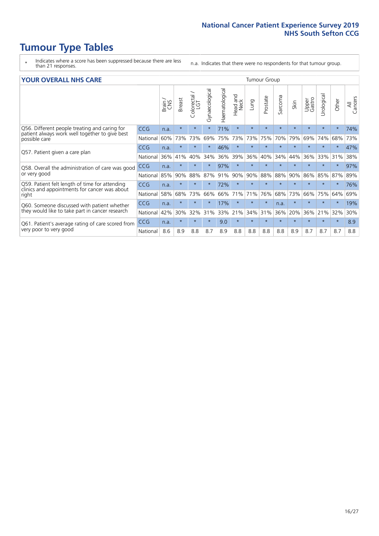### **Tumour Type Tables**

- \* Indicates where a score has been suppressed because there are less than 21 responses.
- n.a. Indicates that there were no respondents for that tumour group.

#### **YOUR OVERALL NHS CARE** THE CONSTRUCTION OF THE THROUP GROUP TUMOUR GROUP

| UN V V LIVALL IVI 19 GAINL                                                                      |            |              |               |                             |                |                |                         |         |          |                      |         |                 |                |         |                |
|-------------------------------------------------------------------------------------------------|------------|--------------|---------------|-----------------------------|----------------|----------------|-------------------------|---------|----------|----------------------|---------|-----------------|----------------|---------|----------------|
|                                                                                                 |            | Brain<br>CNS | <b>Breast</b> | olorectal.<br>LGT<br>$\cup$ | Gynaecological | Haematological | aad and<br>Neck<br>Head | Lung    | Prostate | arcoma<br>$\sqrt{ }$ | Skin    | Upper<br>Gastro | ෆී<br>Urologia | Other   | All<br>Cancers |
| Q56. Different people treating and caring for                                                   | <b>CCG</b> | n.a.         | $\star$       | $\star$                     | $\star$        | 71%            | $\star$                 | $\star$ | $\star$  | $\star$              | $\star$ | $\star$         | $\star$        | $\ast$  | 74%            |
| patient always work well together to give best<br>possible care                                 | National   | 60%          | 73%           | 73%                         | 69%            | 75%            | 73%                     | 73%     | 75%      | 70%                  | 79%     | 69%             | 74%            | 68%     | 73%            |
| Q57. Patient given a care plan                                                                  | <b>CCG</b> | n.a.         | $\star$       | $\star$                     |                | 46%            | $\star$                 | $\star$ | $\star$  | $\star$              | $\star$ |                 |                | $\star$ | 47%            |
|                                                                                                 | National   | 36%          | 41%           | 40%                         | 34%            | 36%            | 39%                     | 36%     | 40%      | 34%                  | 44%     | 36%             | 33%            | 31%     | 38%            |
| Q58. Overall the administration of care was good                                                | <b>CCG</b> | n.a.         | $\star$       | $\star$                     |                | 97%            | $\star$                 |         | $\star$  | $\star$              |         |                 |                |         | 97%            |
| or very good                                                                                    | National   | 85%          | 90%           | 88%                         | 87%            | 91%            | 90%                     | 90%     | 88%      | 88%                  | 90%     | 86%             | 85%            | 87%     | 89%            |
| Q59. Patient felt length of time for attending<br>clinics and appointments for cancer was about | <b>CCG</b> | n.a.         | $\star$       | $\star$                     | $\star$        | 72%            | $\ast$                  | $\star$ | $\star$  | $\star$              | $\star$ | $\star$         | $\star$        | $\ast$  | 76%            |
| right                                                                                           | National   | 58%          | 68%           | 73%                         | 66%            | 66%            | 71%                     | 71%     | 76%      | 68%                  | 73%     | 66%             | 75%            | 64%     | 69%            |
| Q60. Someone discussed with patient whether                                                     | <b>CCG</b> | n.a.         | $\star$       | $\star$                     |                | 17%            | $\star$                 | $\star$ | $\star$  | n.a.                 | $\star$ |                 |                | $\star$ | 19%            |
| they would like to take part in cancer research                                                 | National   | 42%          | 30%           | 32%                         | 31%            | 33%            | 21%                     | 34%     | 31%      | 36%                  | 20%     | 36%             | 21%            | 32%     | 30%            |
| Q61. Patient's average rating of care scored from<br>very poor to very good                     | <b>CCG</b> | n.a.         | $\star$       | $\star$                     | $\star$        | 9.0            | $\ast$                  | $\star$ | $\star$  | $\star$              | $\star$ | $\star$         | $\star$        | $\star$ | 8.9            |
|                                                                                                 | National   | 8.6          | 8.9           | 8.8                         | 8.7            | 8.9            | 8.8                     | 8.8     | 8.8      | 8.8                  | 8.9     | 8.7             | 8.7            | 8.7     | 8.8            |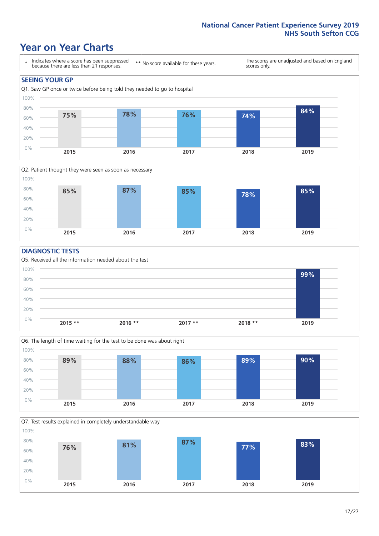### **Year on Year Charts**





#### **DIAGNOSTIC TESTS**





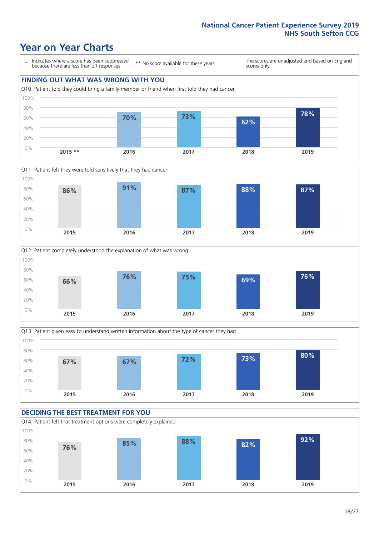### **Year on Year Charts**

\* Indicates where a score has been suppressed because there are less than 21 responses.

\*\* No score available for these years.

The scores are unadjusted and based on England scores only.









#### **DECIDING THE BEST TREATMENT FOR YOU** Q14. Patient felt that treatment options were completely explained 0% 20% 40% 60% 80% 100% **2015 2016 2017 2018 2019 76% 85% 88% 82% 92%**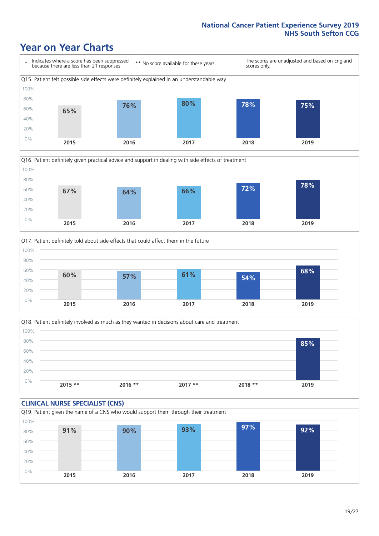### **Year on Year Charts**







Q18. Patient definitely involved as much as they wanted in decisions about care and treatment  $0%$ 20% 40% 60% 80% 100% **2015 \*\* 2016 \*\* 2017 \*\* 2018 \*\* 2019 85%**

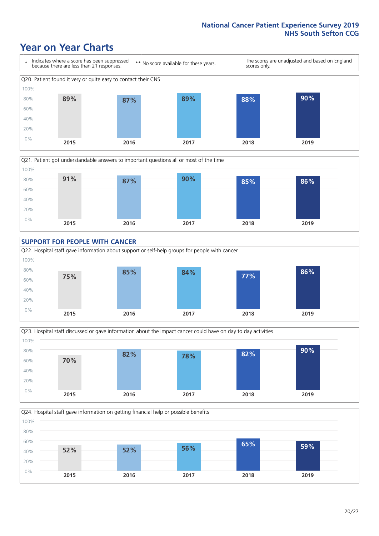### **Year on Year Charts**











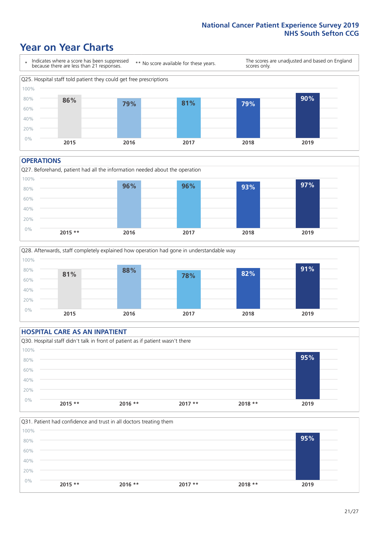### **Year on Year Charts**



#### **OPERATIONS**





#### **HOSPITAL CARE AS AN INPATIENT**



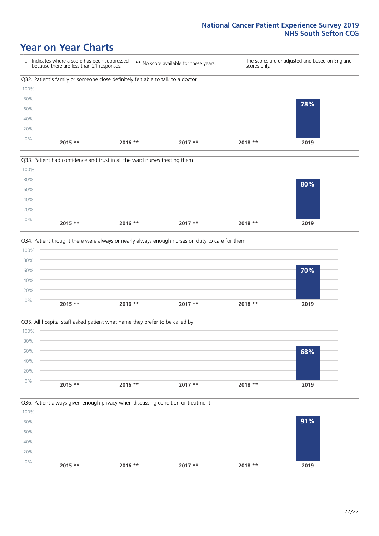### **Year on Year Charts**









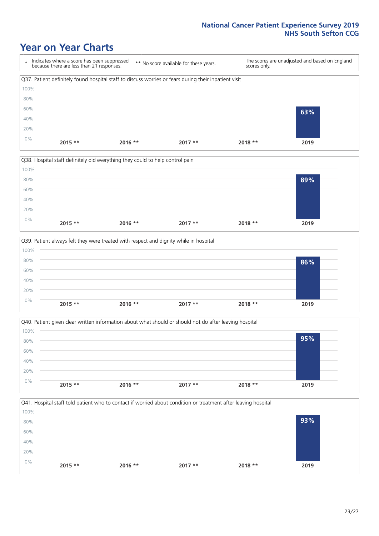### **Year on Year Charts**

\* Indicates where a score has been suppressed because there are less than 21 responses. \*\* No score available for these years. The scores are unadjusted and based on England scores only. Q37. Patient definitely found hospital staff to discuss worries or fears during their inpatient visit 0% 20% 40% 60% 80% 100% **2015 \*\* 2016 \*\* 2017 \*\* 2018 \*\* 2019 63%**





Q40. Patient given clear written information about what should or should not do after leaving hospital  $0%$ 20% 40% 60% 80% 100% **2015 \*\* 2016 \*\* 2017 \*\* 2018 \*\* 2019 95%**

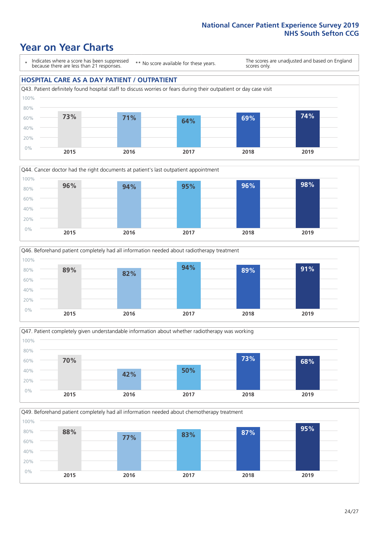### **Year on Year Charts**

\* Indicates where a score has been suppressed because there are less than 21 responses.

\*\* No score available for these years.

The scores are unadjusted and based on England scores only.

#### **HOSPITAL CARE AS A DAY PATIENT / OUTPATIENT**









Q49. Beforehand patient completely had all information needed about chemotherapy treatment

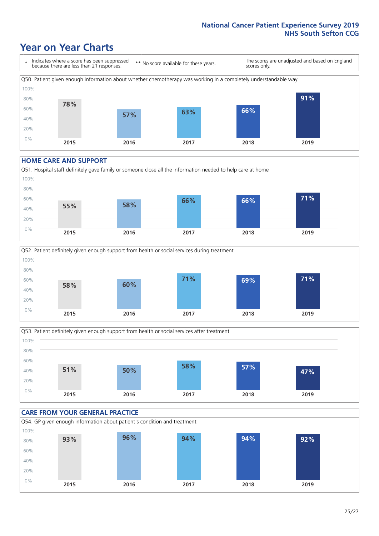### **Year on Year Charts**

\* Indicates where a score has been suppressed because there are less than 21 responses.

\*\* No score available for these years.

The scores are unadjusted and based on England scores only.



#### **HOME CARE AND SUPPORT**







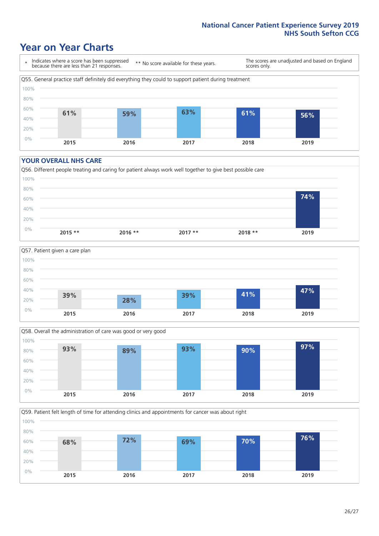### **Year on Year Charts**

\* Indicates where a score has been suppressed because there are less than 21 responses.

\*\* No score available for these years.

The scores are unadjusted and based on England scores only.



#### **YOUR OVERALL NHS CARE**







Q59. Patient felt length of time for attending clinics and appointments for cancer was about right